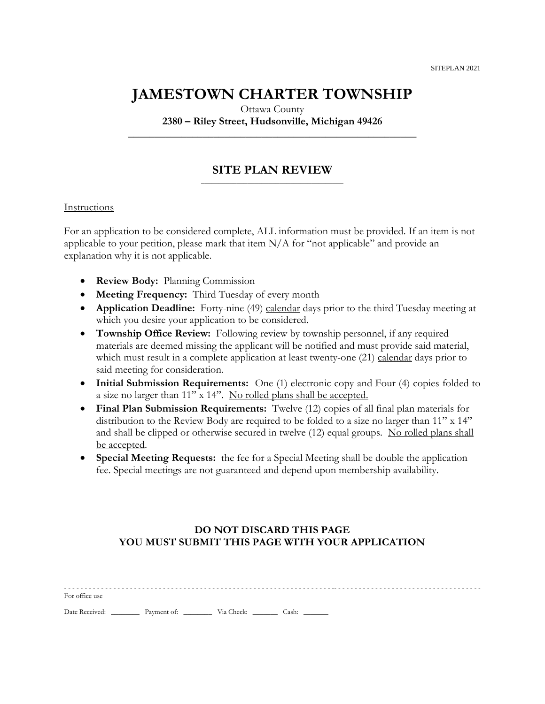## **JAMESTOWN CHARTER TOWNSHIP**

Ottawa County

**2380 – Riley Street, Hudsonville, Michigan 49426 \_\_\_\_\_\_\_\_\_\_\_\_\_\_\_\_\_\_\_\_\_\_\_\_\_\_\_\_\_\_\_\_\_\_\_\_\_\_\_\_\_\_\_\_\_\_\_\_\_\_\_\_\_\_**

### **SITE PLAN REVIEW** \_\_\_\_\_\_\_\_\_\_\_\_\_\_\_\_\_\_\_\_\_\_\_\_\_\_\_\_\_\_\_\_\_\_\_\_\_\_\_\_

### Instructions

For an application to be considered complete, ALL information must be provided. If an item is not applicable to your petition, please mark that item  $N/A$  for "not applicable" and provide an explanation why it is not applicable.

- **Review Body:** Planning Commission
- **Meeting Frequency:** Third Tuesday of every month
- **Application Deadline:** Forty-nine (49) calendar days prior to the third Tuesday meeting at which you desire your application to be considered.
- **Township Office Review:** Following review by township personnel, if any required materials are deemed missing the applicant will be notified and must provide said material, which must result in a complete application at least twenty-one (21) calendar days prior to said meeting for consideration.
- **Initial Submission Requirements:** One (1) electronic copy and Four (4) copies folded to a size no larger than 11" x 14". No rolled plans shall be accepted.
- **Final Plan Submission Requirements:** Twelve (12) copies of all final plan materials for distribution to the Review Body are required to be folded to a size no larger than 11" x 14" and shall be clipped or otherwise secured in twelve (12) equal groups. No rolled plans shall be accepted.
- **Special Meeting Requests:** the fee for a Special Meeting shall be double the application fee. Special meetings are not guaranteed and depend upon membership availability.

### **DO NOT DISCARD THIS PAGE YOU MUST SUBMIT THIS PAGE WITH YOUR APPLICATION**

| For office use |  |  |
|----------------|--|--|

Date Received: \_\_\_\_\_\_\_\_\_ Payment of: \_\_\_\_\_\_\_\_\_ Via Check: \_\_\_\_\_\_\_ Cash: \_\_\_\_\_\_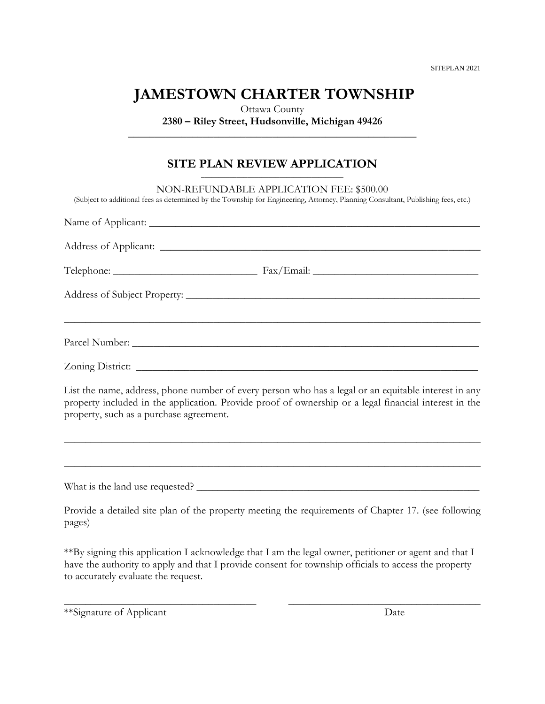SITEPLAN 2021

# **JAMESTOWN CHARTER TOWNSHIP**

Ottawa County **2380 – Riley Street, Hudsonville, Michigan 49426 \_\_\_\_\_\_\_\_\_\_\_\_\_\_\_\_\_\_\_\_\_\_\_\_\_\_\_\_\_\_\_\_\_\_\_\_\_\_\_\_\_\_\_\_\_\_\_\_\_\_\_\_\_\_**

### **SITE PLAN REVIEW APPLICATION**

| NON-REFUNDABLE APPLICATION FEE: \$500.00<br>(Subject to additional fees as determined by the Township for Engineering, Attorney, Planning Consultant, Publishing fees, etc.)                                                                             |
|----------------------------------------------------------------------------------------------------------------------------------------------------------------------------------------------------------------------------------------------------------|
|                                                                                                                                                                                                                                                          |
|                                                                                                                                                                                                                                                          |
|                                                                                                                                                                                                                                                          |
|                                                                                                                                                                                                                                                          |
| ,我们也不能在这里的人,我们也不能在这里的人,我们也不能在这里的人,我们也不能在这里的人,我们也不能在这里的人,我们也不能在这里的人,我们也不能在这里的人,我们也                                                                                                                                                                        |
| Zoning District: <u>New York: New York: New York: New York: New York: New York: New York: New York: New York: New York: New York: New York: New York: New York: New York: New York: New York: New York: New York: New York: New </u>                     |
| List the name, address, phone number of every person who has a legal or an equitable interest in any<br>property included in the application. Provide proof of ownership or a legal financial interest in the<br>property, such as a purchase agreement. |
|                                                                                                                                                                                                                                                          |
|                                                                                                                                                                                                                                                          |
| Provide a detailed site plan of the property meeting the requirements of Chapter 17. (see following<br>pages)                                                                                                                                            |

\*\*By signing this application I acknowledge that I am the legal owner, petitioner or agent and that I have the authority to apply and that I provide consent for township officials to access the property to accurately evaluate the request.

\_\_\_\_\_\_\_\_\_\_\_\_\_\_\_\_\_\_\_\_\_\_\_\_\_\_\_\_\_\_\_\_\_\_\_\_ \_\_\_\_\_\_\_\_\_\_\_\_\_\_\_\_\_\_\_\_\_\_\_\_\_\_\_\_\_\_\_\_\_\_\_\_

\*\*Signature of Applicant Date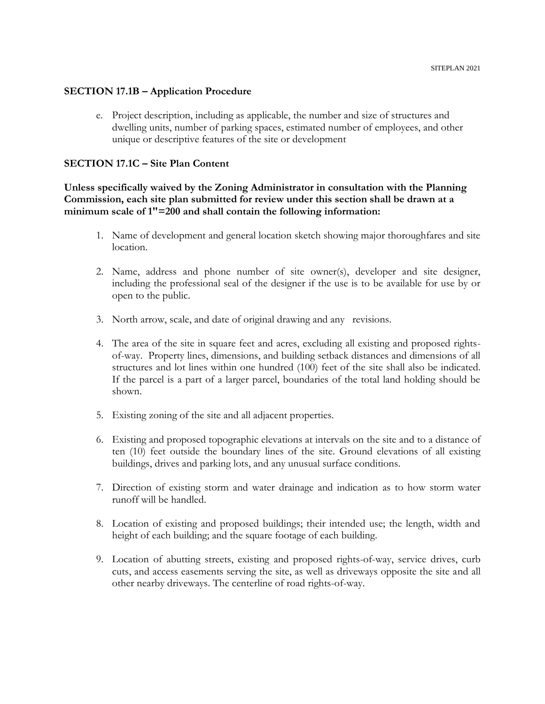### **SECTION 17.1B – Application Procedure**

e. Project description, including as applicable, the number and size of structures and dwelling units, number of parking spaces, estimated number of employees, and other unique or descriptive features of the site or development

### **SECTION 17.1C – Site Plan Content**

### **Unless specifically waived by the Zoning Administrator in consultation with the Planning Commission, each site plan submitted for review under this section shall be drawn at a minimum scale of 1"=200 and shall contain the following information:**

- 1. Name of development and general location sketch showing major thoroughfares and site location.
- 2. Name, address and phone number of site owner(s), developer and site designer, including the professional seal of the designer if the use is to be available for use by or open to the public.
- 3. North arrow, scale, and date of original drawing and any revisions.
- 4. The area of the site in square feet and acres, excluding all existing and proposed rightsof-way. Property lines, dimensions, and building setback distances and dimensions of all structures and lot lines within one hundred (100) feet of the site shall also be indicated. If the parcel is a part of a larger parcel, boundaries of the total land holding should be shown.
- 5. Existing zoning of the site and all adjacent properties.
- 6. Existing and proposed topographic elevations at intervals on the site and to a distance of ten (10) feet outside the boundary lines of the site. Ground elevations of all existing buildings, drives and parking lots, and any unusual surface conditions.
- 7. Direction of existing storm and water drainage and indication as to how storm water runoff will be handled.
- 8. Location of existing and proposed buildings; their intended use; the length, width and height of each building; and the square footage of each building.
- 9. Location of abutting streets, existing and proposed rights-of-way, service drives, curb cuts, and access easements serving the site, as well as driveways opposite the site and all other nearby driveways. The centerline of road rights-of-way.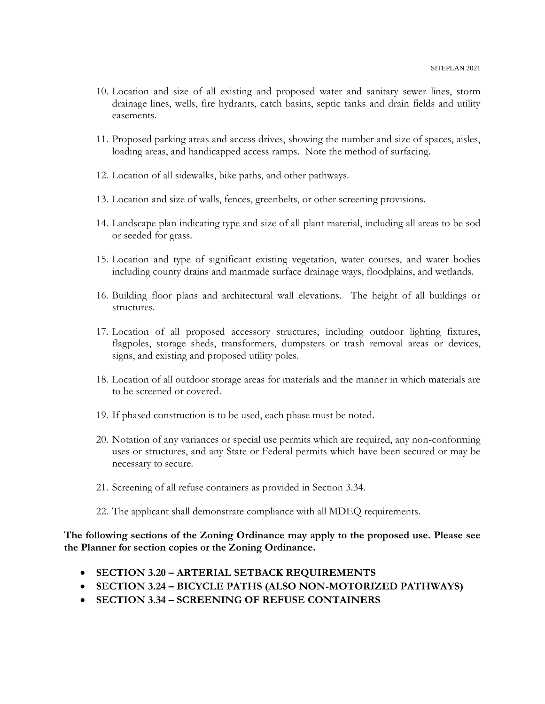- 10. Location and size of all existing and proposed water and sanitary sewer lines, storm drainage lines, wells, fire hydrants, catch basins, septic tanks and drain fields and utility easements.
- 11. Proposed parking areas and access drives, showing the number and size of spaces, aisles, loading areas, and handicapped access ramps. Note the method of surfacing.
- 12. Location of all sidewalks, bike paths, and other pathways.
- 13. Location and size of walls, fences, greenbelts, or other screening provisions.
- 14. Landscape plan indicating type and size of all plant material, including all areas to be sod or seeded for grass.
- 15. Location and type of significant existing vegetation, water courses, and water bodies including county drains and manmade surface drainage ways, floodplains, and wetlands.
- 16. Building floor plans and architectural wall elevations. The height of all buildings or structures.
- 17. Location of all proposed accessory structures, including outdoor lighting fixtures, flagpoles, storage sheds, transformers, dumpsters or trash removal areas or devices, signs, and existing and proposed utility poles.
- 18. Location of all outdoor storage areas for materials and the manner in which materials are to be screened or covered.
- 19. If phased construction is to be used, each phase must be noted.
- 20. Notation of any variances or special use permits which are required, any non-conforming uses or structures, and any State or Federal permits which have been secured or may be necessary to secure.
- 21. Screening of all refuse containers as provided in Section 3.34.
- 22. The applicant shall demonstrate compliance with all MDEQ requirements.

**The following sections of the Zoning Ordinance may apply to the proposed use. Please see the Planner for section copies or the Zoning Ordinance.**

- **SECTION 3.20 – ARTERIAL SETBACK REQUIREMENTS**
- **SECTION 3.24 – BICYCLE PATHS (ALSO NON-MOTORIZED PATHWAYS)**
- **SECTION 3.34 – SCREENING OF REFUSE CONTAINERS**